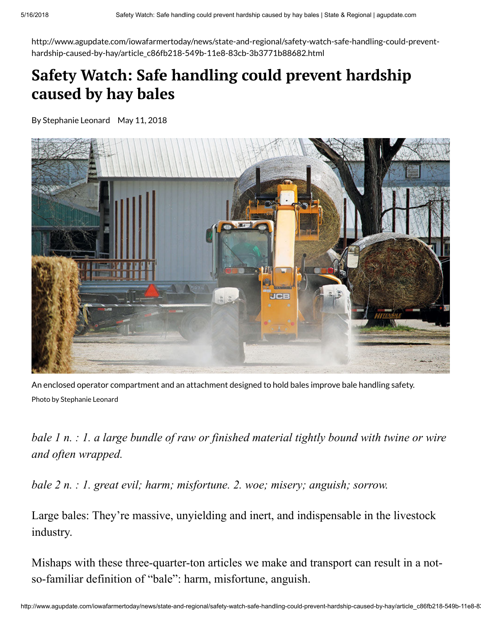http://www.agupdate.com/iowafarmertoday/news/state-and-regional/safety-watch-safe-handling-could-preventhardship-caused-by-hay/article\_c86fb218-549b-11e8-83cb-3b3771b88682.html

# Safety Watch: Safe handling could prevent hardship caused by hay bales

By Stephanie Leonard May 11, 2018



An enclosed operator compartment and an attachment designed to hold bales improve bale handling safety. Photo by Stephanie Leonard

*bale 1 n. : 1. a large bundle of raw or finished material tightly bound with twine or wire and often wrapped.*

*bale 2 n. : 1. great evil; harm; misfortune. 2. woe; misery; anguish; sorrow.*

Large bales: They're massive, unyielding and inert, and indispensable in the livestock industry.

Mishaps with these three-quarter-ton articles we make and transport can result in a notso-familiar definition of "bale": harm, misfortune, anguish.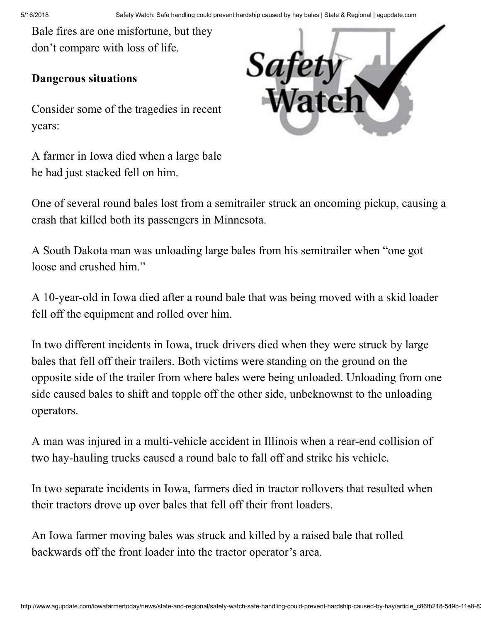Bale fires are one misfortune, but they don't compare with loss of life.

### Dangerous situations

Consider some of the tragedies in recent years:

A farmer in Iowa died when a large bale he had just stacked fell on him.



One of several round bales lost from a semitrailer struck an oncoming pickup, causing a crash that killed both its passengers in Minnesota.

A South Dakota man was unloading large bales from his semitrailer when "one got loose and crushed him."

A 10-year-old in Iowa died after a round bale that was being moved with a skid loader fell off the equipment and rolled over him.

In two different incidents in Iowa, truck drivers died when they were struck by large bales that fell off their trailers. Both victims were standing on the ground on the opposite side of the trailer from where bales were being unloaded. Unloading from one side caused bales to shift and topple off the other side, unbeknownst to the unloading operators.

A man was injured in a multi-vehicle accident in Illinois when a rear-end collision of two hay-hauling trucks caused a round bale to fall off and strike his vehicle.

In two separate incidents in Iowa, farmers died in tractor rollovers that resulted when their tractors drove up over bales that fell off their front loaders.

An Iowa farmer moving bales was struck and killed by a raised bale that rolled backwards off the front loader into the tractor operator's area.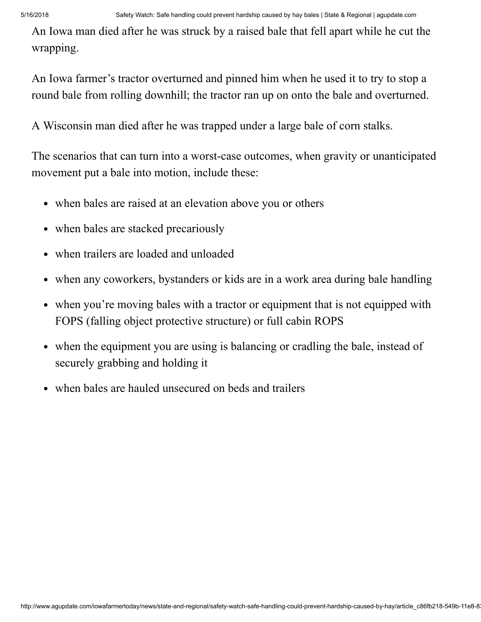An Iowa man died after he was struck by a raised bale that fell apart while he cut the wrapping.

An Iowa farmer's tractor overturned and pinned him when he used it to try to stop a round bale from rolling downhill; the tractor ran up on onto the bale and overturned.

A Wisconsin man died after he was trapped under a large bale of corn stalks.

The scenarios that can turn into a worst-case outcomes, when gravity or unanticipated movement put a bale into motion, include these:

- when bales are raised at an elevation above you or others
- when bales are stacked precariously
- when trailers are loaded and unloaded
- when any coworkers, bystanders or kids are in a work area during bale handling
- when you're moving bales with a tractor or equipment that is not equipped with FOPS (falling object protective structure) or full cabin ROPS
- when the equipment you are using is balancing or cradling the bale, instead of securely grabbing and holding it
- when bales are hauled unsecured on beds and trailers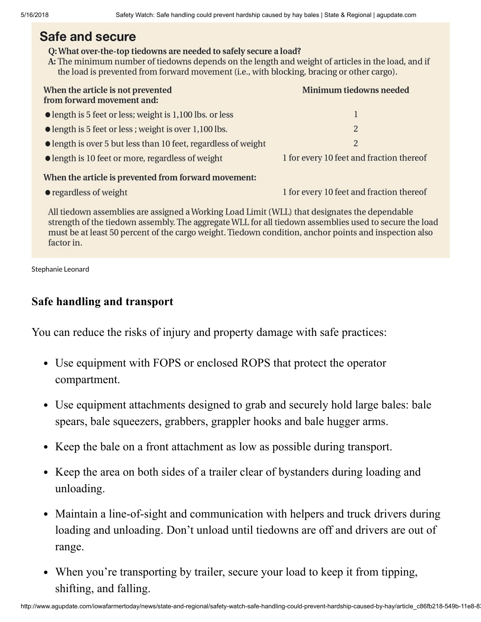# Safe and secure

#### Q: What over-the-top tiedowns are needed to safely secure a load?

A: The minimum number of tiedowns depends on the length and weight of articles in the load, and if the load is prevented from forward movement (i.e., with blocking, bracing or other cargo).

| When the article is not prevented<br>from forward movement and:  | Minimum tiedowns needed                  |
|------------------------------------------------------------------|------------------------------------------|
| $\bullet$ length is 5 feet or less; weight is 1,100 lbs. or less |                                          |
| length is 5 feet or less; weight is over 1,100 lbs.              | $\overline{2}$                           |
| length is over 5 but less than 10 feet, regardless of weight     | $\overline{2}$                           |
| $\bullet$ length is 10 feet or more, regardless of weight        | 1 for every 10 feet and fraction thereof |
| When the article is nowanted from forward mayomant.              |                                          |

#### When the article is prevented from forward movement:

• regardless of weight

1 for every 10 feet and fraction thereof

All tiedown assemblies are assigned a Working Load Limit (WLL) that designates the dependable strength of the tiedown assembly. The aggregate WLL for all tiedown assemblies used to secure the load must be at least 50 percent of the cargo weight. Tiedown condition, anchor points and inspection also factor in.

Stephanie Leonard

## Safe handling and transport

You can reduce the risks of injury and property damage with safe practices:

- Use equipment with FOPS or enclosed ROPS that protect the operator compartment.
- Use equipment attachments designed to grab and securely hold large bales: bale spears, bale squeezers, grabbers, grappler hooks and bale hugger arms.
- Keep the bale on a front attachment as low as possible during transport.
- Keep the area on both sides of a trailer clear of bystanders during loading and unloading.
- Maintain a line-of-sight and communication with helpers and truck drivers during loading and unloading. Don't unload until tiedowns are off and drivers are out of range.
- When you're transporting by trailer, secure your load to keep it from tipping, shifting, and falling.